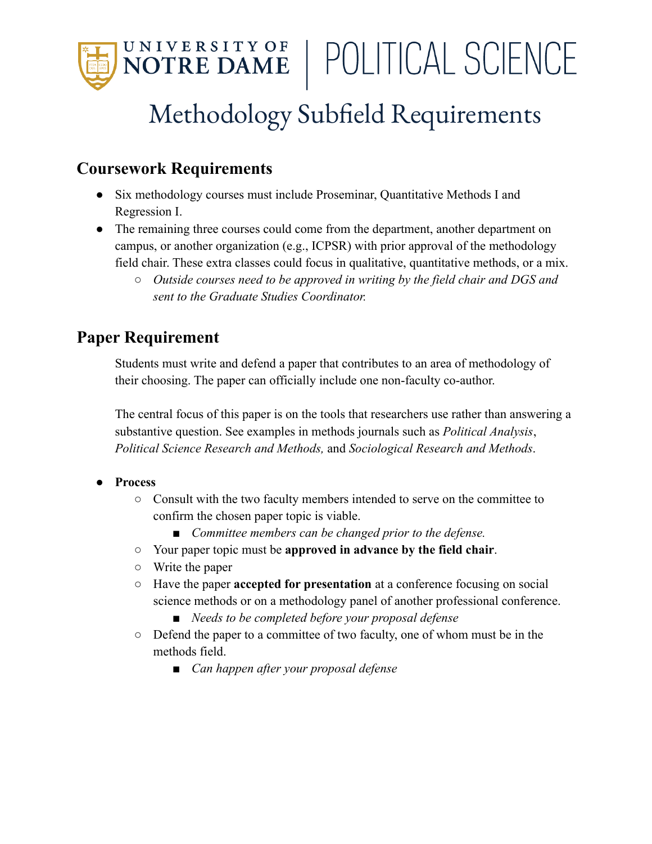

# Methodology Subfield Requirements

### **Coursework Requirements**

- Six methodology courses must include Proseminar, Quantitative Methods I and Regression I.
- The remaining three courses could come from the department, another department on campus, or another organization (e.g., ICPSR) with prior approval of the methodology field chair. These extra classes could focus in qualitative, quantitative methods, or a mix.
	- *○ Outside courses need to be approved in writing by the field chair and DGS and sent to the Graduate Studies Coordinator.*

## **Paper Requirement**

Students must write and defend a paper that contributes to an area of methodology of their choosing. The paper can officially include one non-faculty co-author.

The central focus of this paper is on the tools that researchers use rather than answering a substantive question. See examples in methods journals such as *Political Analysis*, *Political Science Research and Methods,* and *Sociological Research and Methods*.

#### **● Process**

- Consult with the two faculty members intended to serve on the committee to confirm the chosen paper topic is viable.
	- *■ Committee members can be changed prior to the defense.*
- Your paper topic must be **approved in advance by the field chair**.
- Write the paper
- Have the paper **accepted for presentation** at a conference focusing on social science methods or on a methodology panel of another professional conference.
	- *■ Needs to be completed before your proposal defense*
- Defend the paper to a committee of two faculty, one of whom must be in the methods field.
	- *■ Can happen after your proposal defense*